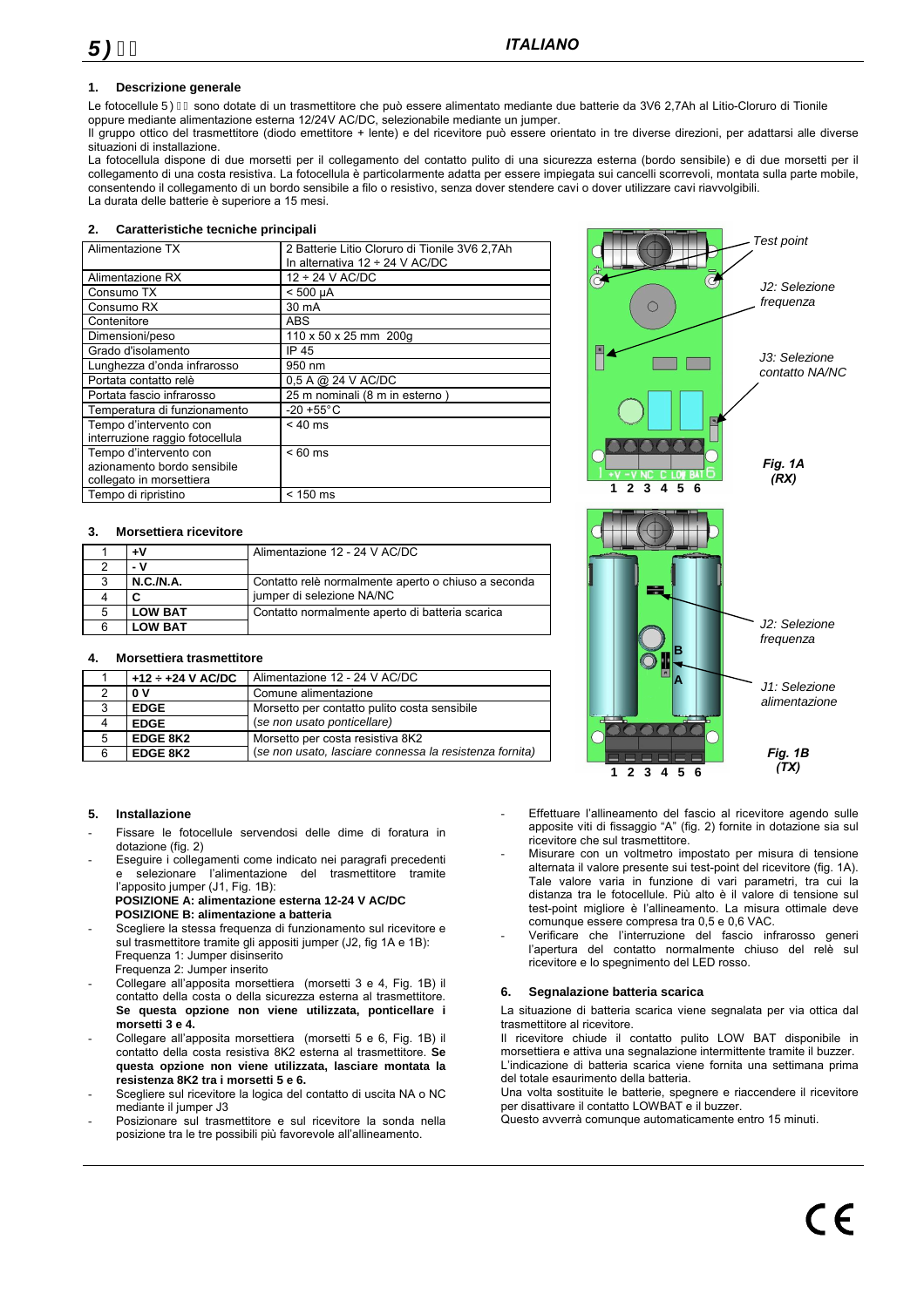#### **1. Descrizione generale**

Le fotocellule ÜØH sono dotate di un trasmettitore che può essere alimentato mediante due batterie da 3V6 2,7Ah al Litio-Cloruro di Tionile oppure mediante alimentazione esterna 12/24V AC/DC, selezionabile mediante un jumper.

Il gruppo ottico del trasmettitore (diodo emettitore + lente) e del ricevitore può essere orientato in tre diverse direzioni, per adattarsi alle diverse situazioni di installazione.

La fotocellula dispone di due morsetti per il collegamento del contatto pulito di una sicurezza esterna (bordo sensibile) e di due morsetti per il collegamento di una costa resistiva. La fotocellula è particolarmente adatta per essere impiegata sui cancelli scorrevoli, montata sulla parte mobile, consentendo il collegamento di un bordo sensibile a filo o resistivo, senza dover stendere cavi o dover utilizzare cavi riavvolgibili. La durata delle batterie è superiore a 15 mesi.

#### **2. Caratteristiche tecniche principali**

| Alimentazione TX                | 2 Batterie Litio Cloruro di Tionile 3V6 2,7Ah<br>In alternativa $12 \div 24$ V AC/DC |  |
|---------------------------------|--------------------------------------------------------------------------------------|--|
| Alimentazione RX                | $12 \div 24$ V AC/DC                                                                 |  |
|                                 |                                                                                      |  |
| Consumo TX                      | $< 500 \mu A$                                                                        |  |
| Consumo RX                      | 30 mA                                                                                |  |
| Contenitore                     | ABS                                                                                  |  |
| Dimensioni/peso                 | 110 x 50 x 25 mm 200g                                                                |  |
| Grado d'isolamento              | IP 45                                                                                |  |
| Lunghezza d'onda infrarosso     | 950 nm                                                                               |  |
| Portata contatto relè           | 0,5 A @ 24 V AC/DC                                                                   |  |
| Portata fascio infrarosso       | 25 m nominali (8 m in esterno)                                                       |  |
| Temperatura di funzionamento    | $-20 + 55^{\circ}$ C                                                                 |  |
| Tempo d'intervento con          | $< 40$ ms                                                                            |  |
| interruzione raggio fotocellula |                                                                                      |  |
| Tempo d'intervento con          | $< 60$ ms                                                                            |  |
| azionamento bordo sensibile     |                                                                                      |  |
| collegato in morsettiera        |                                                                                      |  |
| Tempo di ripristino             | $< 150$ ms                                                                           |  |

#### **3. Morsettiera ricevitore**

|   | ÷۷             | Alimentazione 12 - 24 V AC/DC                       |
|---|----------------|-----------------------------------------------------|
|   | - V            |                                                     |
| 3 | N.C./N.A.      | Contatto relè normalmente aperto o chiuso a seconda |
|   | С              | jumper di selezione NA/NC                           |
| 5 | <b>LOW BAT</b> | Contatto normalmente aperto di batteria scarica     |
|   | <b>LOW BAT</b> |                                                     |

#### **4. Morsettiera trasmettitore**

| $+12 \div +24$ V AC/DC | Alimentazione 12 - 24 V AC/DC                           |
|------------------------|---------------------------------------------------------|
| 0V                     | Comune alimentazione                                    |
| <b>EDGE</b>            | Morsetto per contatto pulito costa sensibile            |
| <b>EDGE</b>            | (se non usato ponticellare)                             |
| <b>EDGE 8K2</b>        | Morsetto per costa resistiva 8K2                        |
| EDGE 8K2               | (se non usato, lasciare connessa la resistenza fornita) |

#### **5. Installazione**

- Fissare le fotocellule servendosi delle dime di foratura in dotazione (fig. 2)
- Eseguire i collegamenti come indicato nei paragrafi precedenti e selezionare l'alimentazione del trasmettitore tramite l'apposito jumper (J1, Fig. 1B): **POSIZIONE A: alimentazione esterna 12-24 V AC/DC** 
	- **POSIZIONE B: alimentazione a batteria**  - Scegliere la stessa frequenza di funzionamento sul ricevitore e
- sul trasmettitore tramite gli appositi jumper (J2, fig 1A e 1B): Frequenza 1: Jumper disinserito Frequenza 2: Jumper inserito
- Collegare all'apposita morsettiera (morsetti 3 e 4, Fig. 1B) il contatto della costa o della sicurezza esterna al trasmettitore. **Se questa opzione non viene utilizzata, ponticellare i morsetti 3 e 4.**
- Collegare all'apposita morsettiera (morsetti 5 e 6, Fig. 1B) il contatto della costa resistiva 8K2 esterna al trasmettitore. **Se questa opzione non viene utilizzata, lasciare montata la resistenza 8K2 tra i morsetti 5 e 6.**
- Scegliere sul ricevitore la logica del contatto di uscita NA o NC mediante il jumper J3
- Posizionare sul trasmettitore e sul ricevitore la sonda nella posizione tra le tre possibili più favorevole all'allineamento.



- Effettuare l'allineamento del fascio al ricevitore agendo sulle apposite viti di fissaggio "A" (fig. 2) fornite in dotazione sia sul ricevitore che sul trasmettitore.
- Misurare con un voltmetro impostato per misura di tensione alternata il valore presente sui test-point del ricevitore (fig. 1A). Tale valore varia in funzione di vari parametri, tra cui la distanza tra le fotocellule. Più alto è il valore di tensione sul test-point migliore è l'allineamento. La misura ottimale deve comunque essere compresa tra 0,5 e 0,6 VAC.
- Verificare che l'interruzione del fascio infrarosso generi l'apertura del contatto normalmente chiuso del relè sul ricevitore e lo spegnimento del LED rosso.

#### **6. Segnalazione batteria scarica**

La situazione di batteria scarica viene segnalata per via ottica dal trasmettitore al ricevitore.

Il ricevitore chiude il contatto pulito LOW BAT disponibile in morsettiera e attiva una segnalazione intermittente tramite il buzzer. L'indicazione di batteria scarica viene fornita una settimana prima del totale esaurimento della batteria.

Una volta sostituite le batterie, spegnere e riaccendere il ricevitore per disattivare il contatto LOWBAT e il buzzer.

Questo avverrà comunque automaticamente entro 15 minuti.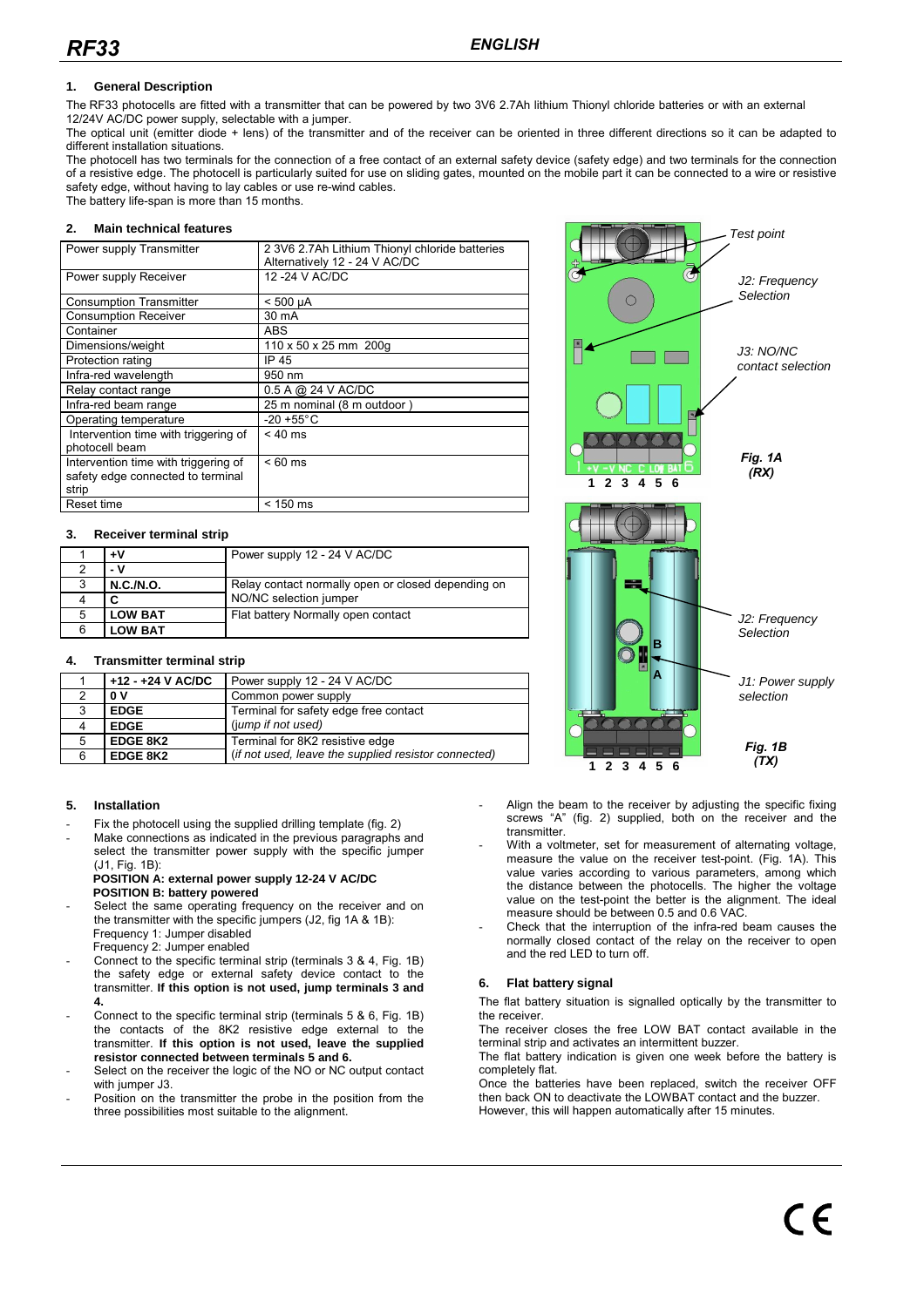### **1. General Description**

The RF33 photocells are fitted with a transmitter that can be powered by two 3V6 2.7Ah lithium Thionyl chloride batteries or with an external 12/24V AC/DC power supply, selectable with a jumper.

The optical unit (emitter diode + lens) of the transmitter and of the receiver can be oriented in three different directions so it can be adapted to different installation situations.

The photocell has two terminals for the connection of a free contact of an external safety device (safety edge) and two terminals for the connection of a resistive edge. The photocell is particularly suited for use on sliding gates, mounted on the mobile part it can be connected to a wire or resistive safety edge, without having to lay cables or use re-wind cables. The battery life-span is more than 15 months.

**2. Main technical features** 

| 2 3V6 2.7Ah Lithium Thionyl chloride batteries |
|------------------------------------------------|
| Alternatively 12 - 24 V AC/DC                  |
| 12 - 24 V AC/DC                                |
|                                                |
| $< 500 \mu A$                                  |
|                                                |
|                                                |
| 110 x 50 x 25 mm 200g                          |
|                                                |
|                                                |
| 0.5 A @ 24 V AC/DC                             |
| 25 m nominal (8 m outdoor)                     |
| $-20 + 55^{\circ}$ C                           |
|                                                |
|                                                |
|                                                |
|                                                |
|                                                |
| $< 150$ ms                                     |
|                                                |

#### **3. Receiver terminal strip**

|   | ÷۷               | Power supply 12 - 24 V AC/DC                       |
|---|------------------|----------------------------------------------------|
|   | - v              |                                                    |
| 3 | <b>N.C./N.O.</b> | Relay contact normally open or closed depending on |
|   |                  | NO/NC selection jumper                             |
| 5 | <b>LOW BAT</b>   | Flat battery Normally open contact                 |
| 6 | <b>LOW BAT</b>   |                                                    |

#### **4. Transmitter terminal strip**

| $+12 - +24$ V AC/DC<br>Power supply 12 - 24 V AC/DC<br>Common power supply<br>0V<br><b>EDGE</b><br>Terminal for safety edge free contact<br>(jump if not used)<br><b>EDGE</b><br><b>EDGE 8K2</b><br>Terminal for 8K2 resistive edge<br>5<br>(if not used, leave the supplied resistor connected)<br>EDGE 8K2 |  |  |
|--------------------------------------------------------------------------------------------------------------------------------------------------------------------------------------------------------------------------------------------------------------------------------------------------------------|--|--|
|                                                                                                                                                                                                                                                                                                              |  |  |
|                                                                                                                                                                                                                                                                                                              |  |  |
|                                                                                                                                                                                                                                                                                                              |  |  |
|                                                                                                                                                                                                                                                                                                              |  |  |
|                                                                                                                                                                                                                                                                                                              |  |  |
|                                                                                                                                                                                                                                                                                                              |  |  |

### **5. Installation**

- Fix the photocell using the supplied drilling template (fig. 2)
- Make connections as indicated in the previous paragraphs and select the transmitter power supply with the specific jumper
- (J1, Fig. 1B): **POSITION A: external power supply 12-24 V AC/DC**

**POSITION B: battery powered**  Select the same operating frequency on the receiver and on

- the transmitter with the specific jumpers (J2, fig 1A & 1B): Frequency 1: Jumper disabled Frequency 2: Jumper enabled
- Connect to the specific terminal strip (terminals 3 & 4, Fig. 1B) the safety edge or external safety device contact to the transmitter. **If this option is not used, jump terminals 3 and 4.**
- Connect to the specific terminal strip (terminals 5 & 6, Fig. 1B) the contacts of the 8K2 resistive edge external to the transmitter. **If this option is not used, leave the supplied resistor connected between terminals 5 and 6.**
- Select on the receiver the logic of the NO or NC output contact with jumper J3.
- Position on the transmitter the probe in the position from the three possibilities most suitable to the alignment.



- Align the beam to the receiver by adjusting the specific fixing screws "A" (fig. 2) supplied, both on the receiver and the transmitter.
- With a voltmeter, set for measurement of alternating voltage, measure the value on the receiver test-point. (Fig. 1A). This value varies according to various parameters, among which the distance between the photocells. The higher the voltage value on the test-point the better is the alignment. The ideal measure should be between 0.5 and 0.6 VAC.
- Check that the interruption of the infra-red beam causes the normally closed contact of the relay on the receiver to open and the red LED to turn off.

### **6. Flat battery signal**

The flat battery situation is signalled optically by the transmitter to the receiver.

The receiver closes the free LOW BAT contact available in the terminal strip and activates an intermittent buzzer.

The flat battery indication is given one week before the battery is completely flat.

Once the batteries have been replaced, switch the receiver OFF then back ON to deactivate the LOWBAT contact and the buzzer. However, this will happen automatically after 15 minutes.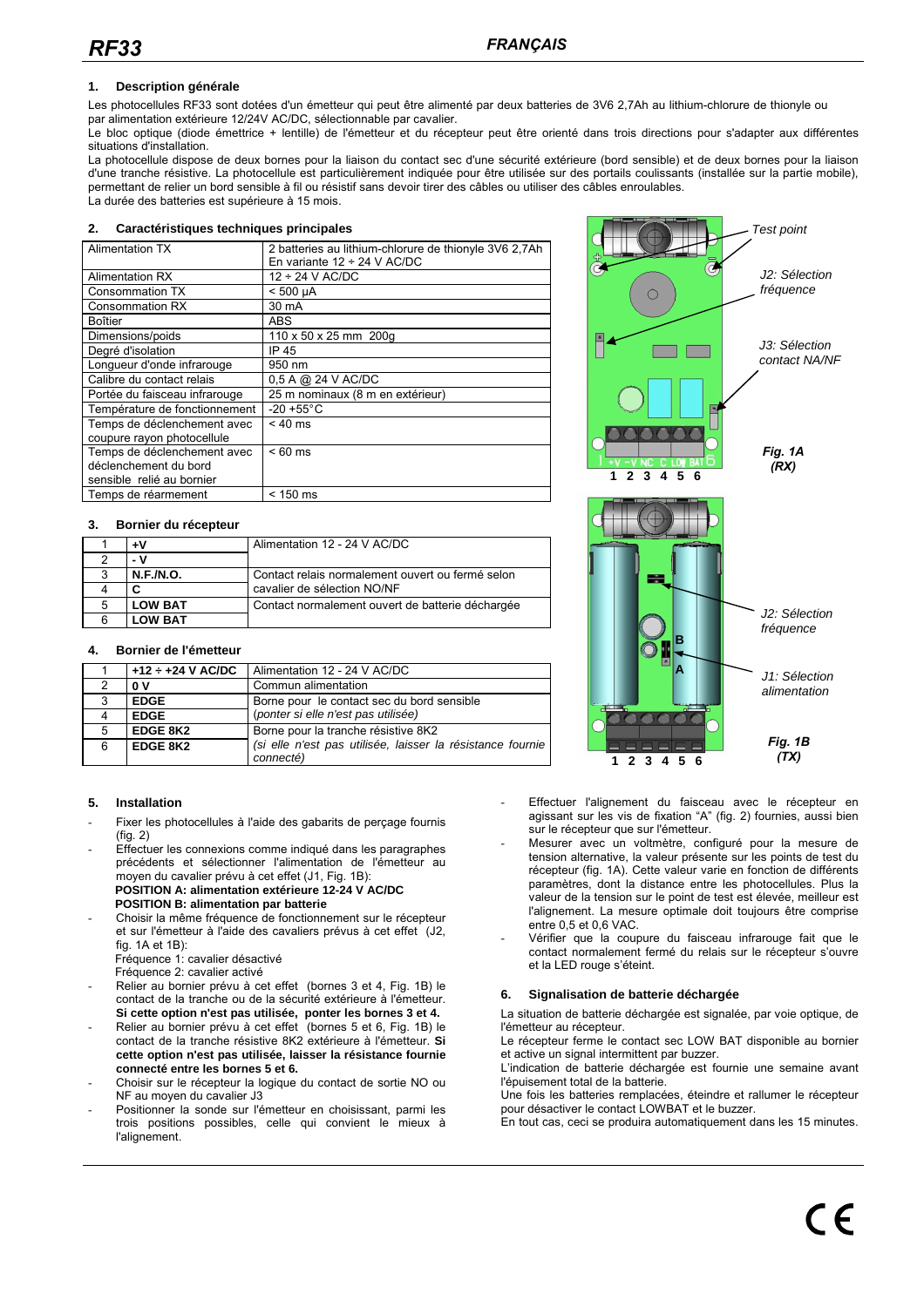#### **1. Description générale**

Les photocellules RF33 sont dotées d'un émetteur qui peut être alimenté par deux batteries de 3V6 2,7Ah au lithium-chlorure de thionyle ou par alimentation extérieure 12/24V AC/DC, sélectionnable par cavalier.

Le bloc optique (diode émettrice + lentille) de l'émetteur et du récepteur peut être orienté dans trois directions pour s'adapter aux différentes situations d'installation.

La photocellule dispose de deux bornes pour la liaison du contact sec d'une sécurité extérieure (bord sensible) et de deux bornes pour la liaison d'une tranche résistive. La photocellule est particulièrement indiquée pour être utilisée sur des portails coulissants (installée sur la partie mobile), permettant de relier un bord sensible à fil ou résistif sans devoir tirer des câbles ou utiliser des câbles enroulables. La durée des batteries est supérieure à 15 mois.

#### **2. Caractéristiques techniques principales**

| <b>Alimentation TX</b>        | 2 batteries au lithium-chlorure de thionyle 3V6 2,7Ah |
|-------------------------------|-------------------------------------------------------|
|                               | En variante $12 \div 24$ V AC/DC                      |
| <b>Alimentation RX</b>        | $12 \div 24$ V AC/DC                                  |
| <b>Consommation TX</b>        | $< 500 \mu A$                                         |
| <b>Consommation RX</b>        | 30 mA                                                 |
| Boîtier                       | ABS                                                   |
| Dimensions/poids              | 110 x 50 x 25 mm 200g                                 |
| Degré d'isolation             | IP 45                                                 |
| Longueur d'onde infrarouge    | 950 nm                                                |
| Calibre du contact relais     | 0,5 A @ 24 V AC/DC                                    |
| Portée du faisceau infrarouge | 25 m nominaux (8 m en extérieur)                      |
| Température de fonctionnement | $-20 + 55^{\circ}$ C                                  |
| Temps de déclenchement avec   | $< 40$ ms                                             |
| coupure rayon photocellule    |                                                       |
| Temps de déclenchement avec   | $< 60$ ms                                             |
| déclenchement du bord         |                                                       |
| sensible relié au bornier     |                                                       |
| Temps de réarmement           | < 150 ms                                              |
|                               |                                                       |

#### **3. Bornier du récepteur**

|   | ÷۷               | Alimentation 12 - 24 V AC/DC                     |
|---|------------------|--------------------------------------------------|
|   | - V              |                                                  |
| ຈ | <b>N.F./N.O.</b> | Contact relais normalement ouvert ou fermé selon |
|   |                  | cavalier de sélection NO/NF                      |
| 5 | <b>LOW BAT</b>   | Contact normalement ouvert de batterie déchargée |
|   | <b>LOW BAT</b>   |                                                  |

#### **4. Bornier de l'émetteur**

|   | $+12 \div +24$ V AC/DC | Alimentation 12 - 24 V AC/DC                               |
|---|------------------------|------------------------------------------------------------|
|   | 0V                     | Commun alimentation                                        |
| 3 | <b>EDGE</b>            | Borne pour le contact sec du bord sensible                 |
|   | <b>EDGE</b>            | (ponter si elle n'est pas utilisée)                        |
| 5 | <b>EDGE 8K2</b>        | Borne pour la tranche résistive 8K2                        |
| 6 | <b>EDGE 8K2</b>        | (si elle n'est pas utilisée, laisser la résistance fournie |
|   |                        | connecté)                                                  |

#### **5. Installation**

- Fixer les photocellules à l'aide des gabarits de perçage fournis (fig. 2)
- Effectuer les connexions comme indiqué dans les paragraphes précédents et sélectionner l'alimentation de l'émetteur au moyen du cavalier prévu à cet effet (J1, Fig. 1B): **POSITION A: alimentation extérieure 12-24 V AC/DC POSITION B: alimentation par batterie**
- Choisir la même fréquence de fonctionnement sur le récepteur et sur l'émetteur à l'aide des cavaliers prévus à cet effet (J2, fig. 1A et 1B): Fréquence 1: cavalier désactivé
	- Fréquence 2: cavalier activé
- Relier au bornier prévu à cet effet (bornes 3 et 4, Fig. 1B) le contact de la tranche ou de la sécurité extérieure à l'émetteur. **Si cette option n'est pas utilisée, ponter les bornes 3 et 4.**
- Relier au bornier prévu à cet effet (bornes 5 et 6, Fig. 1B) le contact de la tranche résistive 8K2 extérieure à l'émetteur. **Si cette option n'est pas utilisée, laisser la résistance fournie connecté entre les bornes 5 et 6.**
- Choisir sur le récepteur la logique du contact de sortie NO ou NF au moyen du cavalier J3
- Positionner la sonde sur l'émetteur en choisissant, parmi les trois positions possibles, celle qui convient le mieux à l'alignement.



- Effectuer l'alignement du faisceau avec le récepteur en agissant sur les vis de fixation "A" (fig. 2) fournies, aussi bien sur le récepteur que sur l'émetteur.
- Mesurer avec un voltmètre, configuré pour la mesure de tension alternative, la valeur présente sur les points de test du récepteur (fig. 1A). Cette valeur varie en fonction de différents paramètres, dont la distance entre les photocellules. Plus la valeur de la tension sur le point de test est élevée, meilleur est l'alignement. La mesure optimale doit toujours être comprise entre 0,5 et 0,6 VAC.
- Vérifier que la coupure du faisceau infrarouge fait que le contact normalement fermé du relais sur le récepteur s'ouvre et la LED rouge s'éteint.

### **6. Signalisation de batterie déchargée**

La situation de batterie déchargée est signalée, par voie optique, de l'émetteur au récepteur.

Le récepteur ferme le contact sec LOW BAT disponible au bornier et active un signal intermittent par buzzer.

L'indication de batterie déchargée est fournie une semaine avant l'épuisement total de la batterie.

Une fois les batteries remplacées, éteindre et rallumer le récepteur pour désactiver le contact LOWBAT et le buzzer.

En tout cas, ceci se produira automatiquement dans les 15 minutes.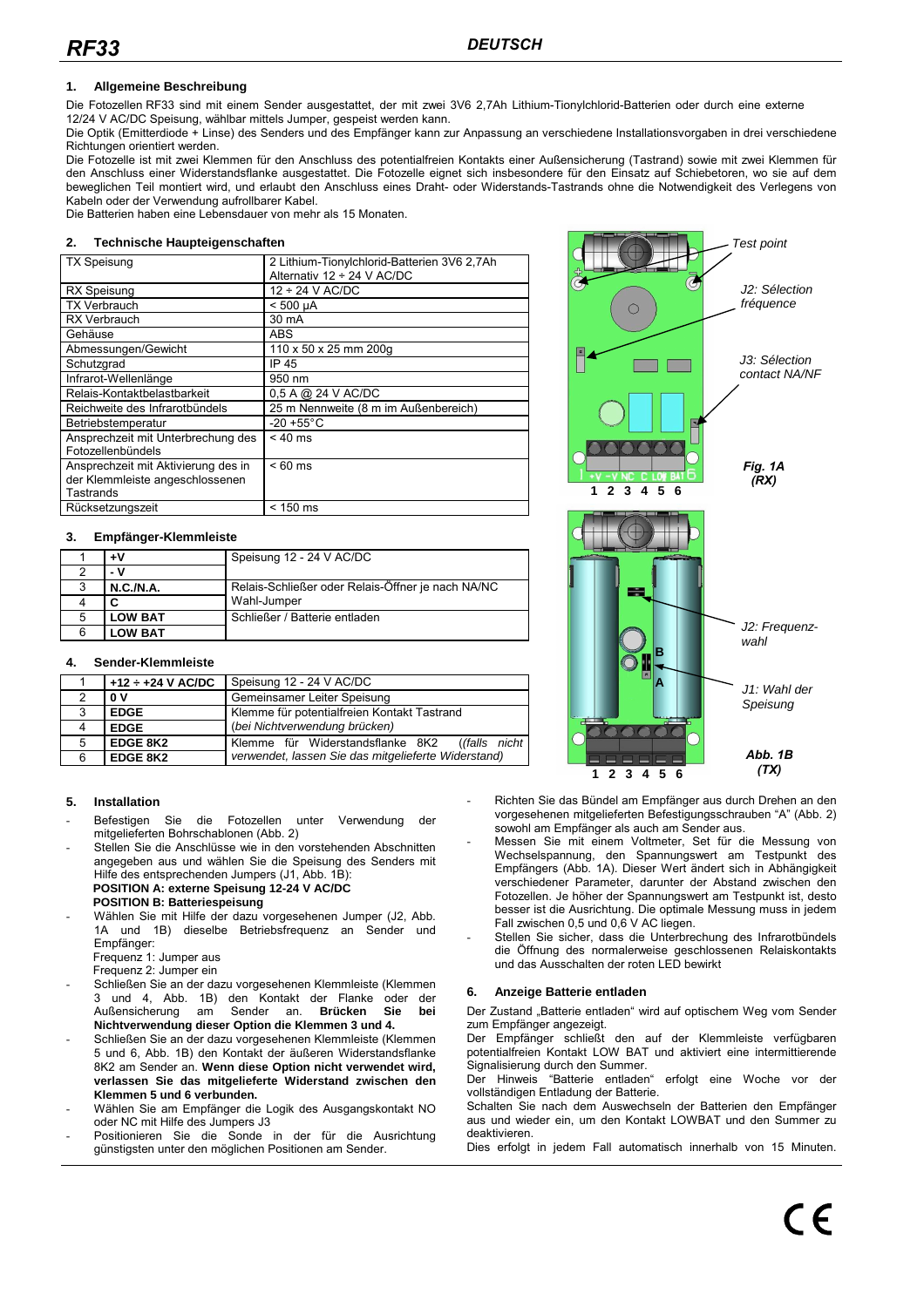### **1. Allgemeine Beschreibung**

Die Fotozellen RF33 sind mit einem Sender ausgestattet, der mit zwei 3V6 2,7Ah Lithium-Tionylchlorid-Batterien oder durch eine externe 12/24 V AC/DC Speisung, wählbar mittels Jumper, gespeist werden kann.

Die Optik (Emitterdiode + Linse) des Senders und des Empfänger kann zur Anpassung an verschiedene Installationsvorgaben in drei verschiedene Richtungen orientiert werden.

Die Fotozelle ist mit zwei Klemmen für den Anschluss des potentialfreien Kontakts einer Außensicherung (Tastrand) sowie mit zwei Klemmen für den Anschluss einer Widerstandsflanke ausgestattet. Die Fotozelle eignet sich insbesondere für den Einsatz auf Schiebetoren, wo sie auf dem beweglichen Teil montiert wird, und erlaubt den Anschluss eines Draht- oder Widerstands-Tastrands ohne die Notwendigkeit des Verlegens von Kabeln oder der Verwendung aufrollbarer Kabel.

Die Batterien haben eine Lebensdauer von mehr als 15 Monaten.

#### **2. Technische Haupteigenschaften**

| <b>TX Speisung</b>                  | 2 Lithium-Tionylchlorid-Batterien 3V6 2,7Ah |
|-------------------------------------|---------------------------------------------|
|                                     | Alternativ $12 \div 24$ V AC/DC             |
| <b>RX Speisung</b>                  | $12 \div 24$ V AC/DC                        |
| <b>TX Verbrauch</b>                 | $< 500 \mu A$                               |
| <b>RX Verbrauch</b>                 | 30 mA                                       |
| Gehäuse                             | <b>ABS</b>                                  |
| Abmessungen/Gewicht                 | 110 x 50 x 25 mm 200g                       |
| Schutzgrad                          | IP 45                                       |
| Infrarot-Wellenlänge                | 950 nm                                      |
| Relais-Kontaktbelastbarkeit         | 0,5 A @ 24 V AC/DC                          |
| Reichweite des Infrarotbündels      | 25 m Nennweite (8 m im Außenbereich)        |
| Betriebstemperatur                  | $-20 + 55^{\circ}$ C                        |
| Ansprechzeit mit Unterbrechung des  | $< 40$ ms                                   |
| Fotozellenbündels                   |                                             |
| Ansprechzeit mit Aktivierung des in | $< 60$ ms                                   |
| der Klemmleiste angeschlossenen     |                                             |
| Tastrands                           |                                             |
| Rücksetzungszeit                    | < 150 ms                                    |
|                                     |                                             |

#### **3. Empfänger-Klemmleiste**

|   | ÷۷             | Speisung 12 - 24 V AC/DC                          |
|---|----------------|---------------------------------------------------|
|   | - v            |                                                   |
| 3 | N.C.M.A.       | Relais-Schließer oder Relais-Öffner je nach NA/NC |
|   | С              | Wahl-Jumper                                       |
| 5 | <b>LOW BAT</b> | Schließer / Batterie entladen                     |
| 6 | <b>LOW BAT</b> |                                                   |

### **4. Sender-Klemmleiste**

|   | $+12 \div +24$ V AC/DC | Speisung 12 - 24 V AC/DC                                    |
|---|------------------------|-------------------------------------------------------------|
|   | 0V                     | Gemeinsamer Leiter Speisung                                 |
| 3 | <b>EDGE</b>            | Klemme für potentialfreien Kontakt Tastrand                 |
|   | <b>EDGE</b>            | (bei Nichtverwendung brücken)                               |
| 5 | <b>EDGE 8K2</b>        | Klemme für Widerstandsflanke 8K2<br>( <i>(falls nicht</i> ) |
|   | EDGE 8K2               | verwendet, lassen Sie das mitgelieferte Widerstand)         |

#### **5. Installation**

- Befestigen Sie die Fotozellen unter Verwendung der mitgelieferten Bohrschablonen (Abb. 2)
- Stellen Sie die Anschlüsse wie in den vorstehenden Abschnitten angegeben aus und wählen Sie die Speisung des Senders mit Hilfe des entsprechenden Jumpers (J1, Abb. 1B): **POSITION A: externe Speisung 12-24 V AC/DC POSITION B: Batteriespeisung**

- Wählen Sie mit Hilfe der dazu vorgesehenen Jumper (J2, Abb. 1A und 1B) dieselbe Betriebsfrequenz an Sender und Empfänger:
	- Frequenz 1: Jumper aus Frequenz 2: Jumper ein
- Schließen Sie an der dazu vorgesehenen Klemmleiste (Klemmen 3 und 4, Abb. 1B) den Kontakt der Flanke oder der Außensicherung **Nichtverwendung dieser Option die Klemmen 3 und 4.**
- Schließen Sie an der dazu vorgesehenen Klemmleiste (Klemmen 5 und 6, Abb. 1B) den Kontakt der äußeren Widerstandsflanke 8K2 am Sender an. **Wenn diese Option nicht verwendet wird, verlassen Sie das mitgelieferte Widerstand zwischen den Klemmen 5 und 6 verbunden.**
- Wählen Sie am Empfänger die Logik des Ausgangskontakt NO oder NC mit Hilfe des Jumpers J3
- Positionieren Sie die Sonde in der für die Ausrichtung günstigsten unter den möglichen Positionen am Sender.



- Richten Sie das Bündel am Empfänger aus durch Drehen an den vorgesehenen mitgelieferten Befestigungsschrauben "A" (Abb. 2) sowohl am Empfänger als auch am Sender aus.
- Messen Sie mit einem Voltmeter, Set für die Messung von Wechselspannung, den Spannungswert am Testpunkt des Empfängers (Abb. 1A). Dieser Wert ändert sich in Abhängigkeit verschiedener Parameter, darunter der Abstand zwischen den Fotozellen. Je höher der Spannungswert am Testpunkt ist, desto besser ist die Ausrichtung. Die optimale Messung muss in jedem Fall zwischen 0,5 und 0,6 V AC liegen.
- Stellen Sie sicher, dass die Unterbrechung des Infrarotbündels die Öffnung des normalerweise geschlossenen Relaiskontakts und das Ausschalten der roten LED bewirkt

#### **6. Anzeige Batterie entladen**

Der Zustand "Batterie entladen" wird auf optischem Weg vom Sender zum Empfänger angezeigt.

Der Empfänger schließt den auf der Klemmleiste verfügbaren potentialfreien Kontakt LOW BAT und aktiviert eine intermittierende Signalisierung durch den Summer.

Der Hinweis "Batterie entladen" erfolgt eine Woche vor der vollständigen Entladung der Batterie.

Schalten Sie nach dem Auswechseln der Batterien den Empfänger aus und wieder ein, um den Kontakt LOWBAT und den Summer zu deaktivieren.

Dies erfolgt in jedem Fall automatisch innerhalb von 15 Minuten.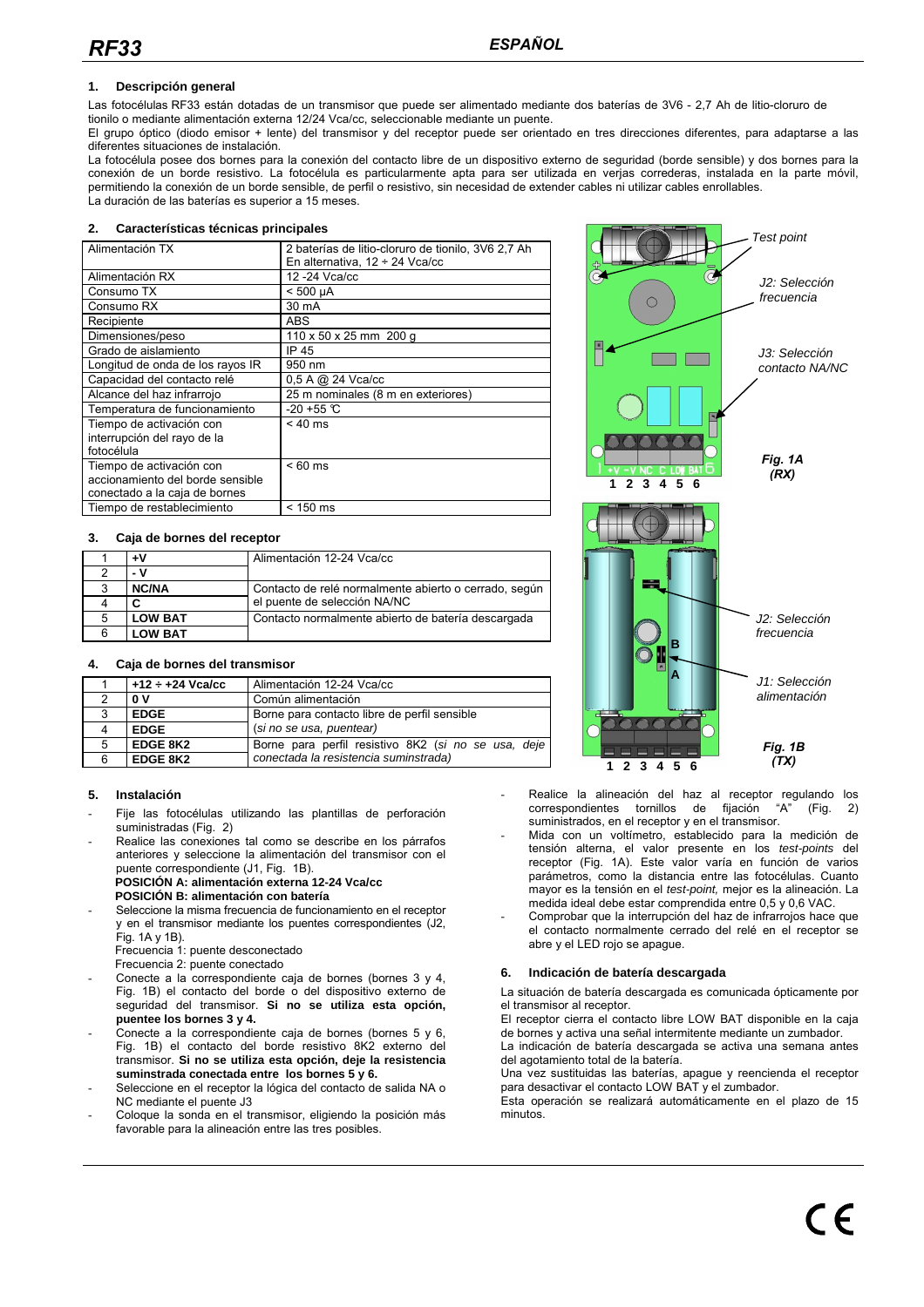### **1. Descripción general**

Las fotocélulas RF33 están dotadas de un transmisor que puede ser alimentado mediante dos baterías de 3V6 - 2,7 Ah de litio-cloruro de tionilo o mediante alimentación externa 12/24 Vca/cc, seleccionable mediante un puente.

El grupo óptico (diodo emisor + lente) del transmisor y del receptor puede ser orientado en tres direcciones diferentes, para adaptarse a las diferentes situaciones de instalación.

La fotocélula posee dos bornes para la conexión del contacto libre de un dispositivo externo de seguridad (borde sensible) y dos bornes para la conexión de un borde resistivo. La fotocélula es particularmente apta para ser utilizada en verjas correderas, instalada en la parte móvil, permitiendo la conexión de un borde sensible, de perfil o resistivo, sin necesidad de extender cables ni utilizar cables enrollables. La duración de las baterías es superior a 15 meses.

#### **2. Características técnicas principales**

| Alimentación TX                  | 2 baterías de litio-cloruro de tionilo, 3V6 2,7 Ah |
|----------------------------------|----------------------------------------------------|
|                                  | En alternativa, $12 \div 24$ Vca/cc                |
| Alimentación RX                  | 12-24 Vca/cc                                       |
| Consumo TX                       | $< 500 \mu A$                                      |
| Consumo RX                       | 30 mA                                              |
| Recipiente                       | <b>ABS</b>                                         |
| Dimensiones/peso                 | 110 x 50 x 25 mm 200 g                             |
| Grado de aislamiento             | IP 45                                              |
| Longitud de onda de los rayos IR | 950 nm                                             |
| Capacidad del contacto relé      | 0.5 A @ 24 Vca/cc                                  |
| Alcance del haz infrarrojo       | 25 m nominales (8 m en exteriores)                 |
| Temperatura de funcionamiento    | $-20 + 55$ °C                                      |
| Tiempo de activación con         | $< 40$ ms                                          |
| interrupción del rayo de la      |                                                    |
| fotocélula                       |                                                    |
| Tiempo de activación con         | $< 60$ ms                                          |
| accionamiento del borde sensible |                                                    |
| conectado a la caja de bornes    |                                                    |
| Tiempo de restablecimiento       | $< 150$ ms                                         |
|                                  |                                                    |

#### **3. Caja de bornes del receptor**

|   | +۷             | Alimentación 12-24 Vca/cc                             |
|---|----------------|-------------------------------------------------------|
|   | - V            |                                                       |
| 3 | <b>NC/NA</b>   | Contacto de relé normalmente abierto o cerrado, según |
|   | C              | el puente de selección NA/NC                          |
| 5 | <b>LOW BAT</b> | Contacto normalmente abierto de batería descargada    |
| 6 | <b>LOW BAT</b> |                                                       |

#### **4. Caja de bornes del transmisor**

|   | $+12 \div +24$ Vca/cc | Alimentación 12-24 Vca/cc                           |
|---|-----------------------|-----------------------------------------------------|
|   | 0V                    | Común alimentación                                  |
|   | <b>EDGE</b>           | Borne para contacto libre de perfil sensible        |
|   | <b>EDGE</b>           | (si no se usa, puentear)                            |
| 5 | <b>EDGE 8K2</b>       | Borne para perfil resistivo 8K2 (si no se usa, deje |
|   | EDGE 8K2              | conectada la resistencia suminstrada)               |

#### **5. Instalación**

- Fije las fotocélulas utilizando las plantillas de perforación suministradas (Fig. 2)
- Realice las conexiones tal como se describe en los párrafos anteriores y seleccione la alimentación del transmisor con el puente correspondiente (J1, Fig. 1B). **POSICIÓN A: alimentación externa 12-24 Vca/cc POSICIÓN B: alimentación con batería**
- Seleccione la misma frecuencia de funcionamiento en el receptor
- y en el transmisor mediante los puentes correspondientes (J2, Fig. 1A y 1B). Frecuencia 1: puente desconectado
	- Frecuencia 2: puente conectado
- Conecte a la correspondiente caja de bornes (bornes 3 y 4, Fig. 1B) el contacto del borde o del dispositivo externo de seguridad del transmisor. **Si no se utiliza esta opción, puentee los bornes 3 y 4.**
- Conecte a la correspondiente caja de bornes (bornes 5 y 6, Fig. 1B) el contacto del borde resistivo 8K2 externo del transmisor. **Si no se utiliza esta opción, deje la resistencia suminstrada conectada entre los bornes 5 y 6.**
- Seleccione en el receptor la lógica del contacto de salida NA o NC mediante el puente J3
- Coloque la sonda en el transmisor, eligiendo la posición más favorable para la alineación entre las tres posibles.



- Realice la alineación del haz al receptor regulando los correspondientes tornillos de fijación "A" (Fig. 2) suministrados, en el receptor y en el transmisor.
- Mida con un voltímetro, establecido para la medición de tensión alterna, el valor presente en los test-points del receptor (Fig. 1A). Este valor varía en función de varios parámetros, como la distancia entre las fotocélulas. Cuanto mayor es la tensión en el test-point, mejor es la alineación. La medida ideal debe estar comprendida entre 0,5 y 0,6 VAC.
- Comprobar que la interrupción del haz de infrarrojos hace que el contacto normalmente cerrado del relé en el receptor se abre y el LED rojo se apague.

### **6. Indicación de batería descargada**

La situación de batería descargada es comunicada ópticamente por el transmisor al receptor.

El receptor cierra el contacto libre LOW BAT disponible en la caja de bornes y activa una señal intermitente mediante un zumbador. La indicación de batería descargada se activa una semana antes del agotamiento total de la batería.

Una vez sustituidas las baterías, apague y reencienda el receptor para desactivar el contacto LOW BAT y el zumbador.

Esta operación se realizará automáticamente en el plazo de 15 minutos.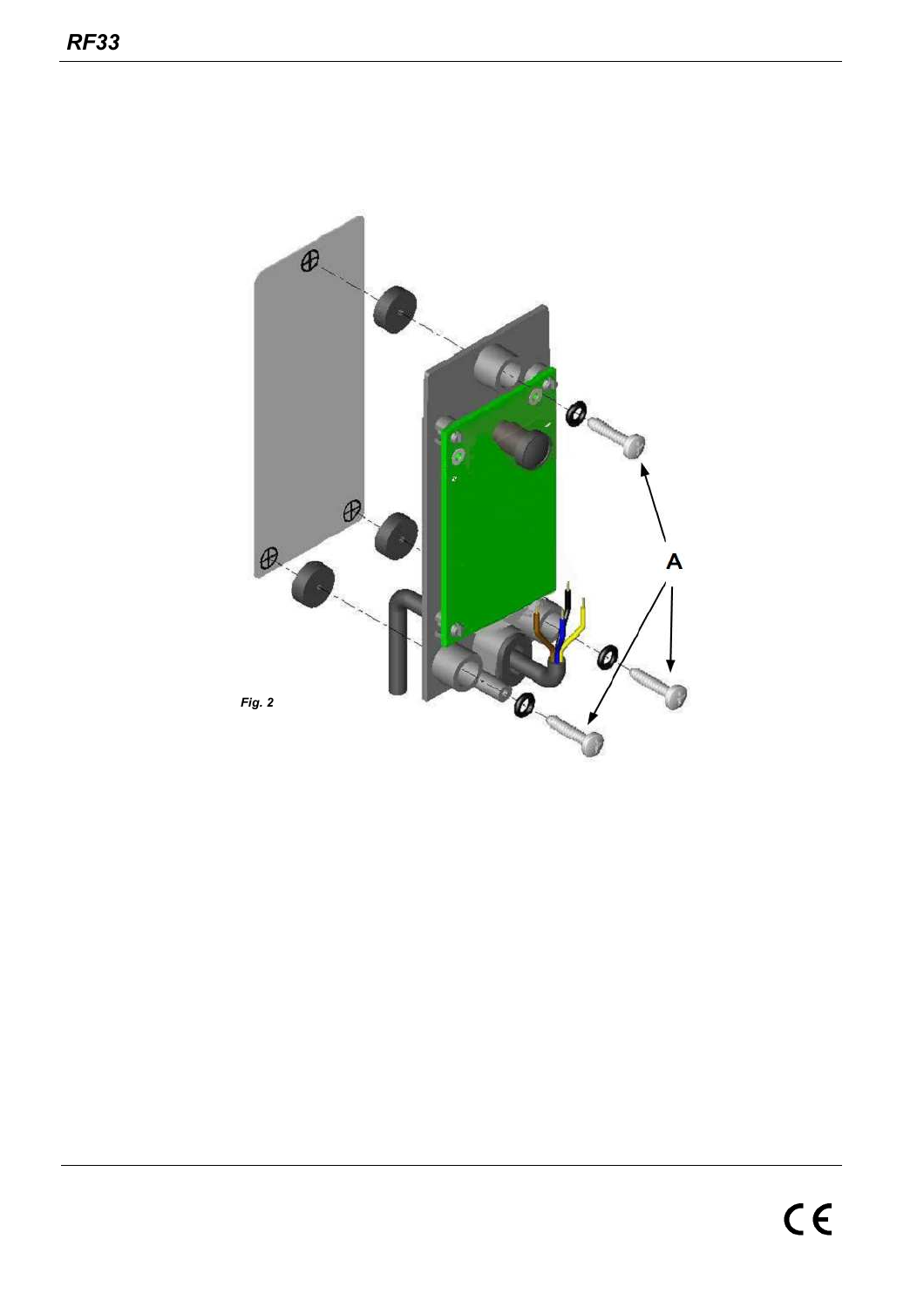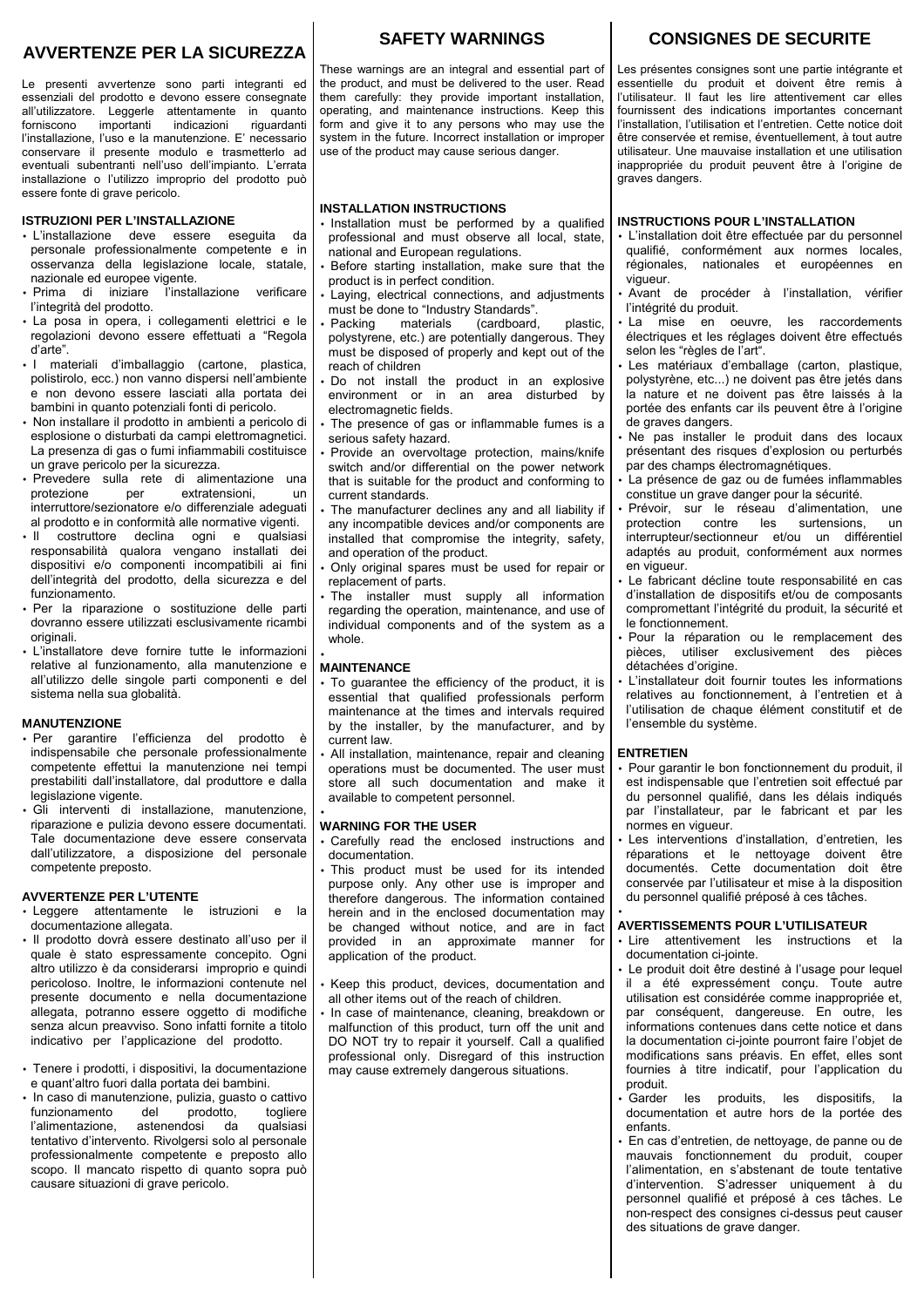# **AVVERTENZE PER LA SICUREZZA**

Le presenti avvertenze sono parti integranti ed essenziali del prodotto e devono essere consegnate all'utilizzatore. Leggerle attentamente in quanto riguardanti l'installazione, l'uso e la manutenzione. E' necessario conservare il presente modulo e trasmetterlo ad eventuali subentranti nell'uso dell'impianto. L'errata installazione o l'utilizzo improprio del prodotto può essere fonte di grave pericolo.

#### **ISTRUZIONI PER L'INSTALLAZIONE**

- L'installazione deve essere eseguita da personale professionalmente competente e in osservanza della legislazione locale, statale, nazionale ed europee vigente.
- Prima di iniziare l'installazione verificare l'integrità del prodotto.
- La posa in opera, i collegamenti elettrici e le regolazioni devono essere effettuati a "Regola d'arte".
- I materiali d'imballaggio (cartone, plastica, polistirolo, ecc.) non vanno dispersi nell'ambiente e non devono essere lasciati alla portata dei bambini in quanto potenziali fonti di pericolo.
- Non installare il prodotto in ambienti a pericolo di esplosione o disturbati da campi elettromagnetici. La presenza di gas o fumi infiammabili costituisce un grave pericolo per la sicurezza.
- Prevedere sulla rete di alimentazione una protezione per extratensioni, un interruttore/sezionatore e/o differenziale adeguati al prodotto e in conformità alle normative vigenti.
- Il costruttore declina ogni e qualsiasi responsabilità qualora vengano installati dei dispositivi e/o componenti incompatibili ai fini dell'integrità del prodotto, della sicurezza e del funzionamento.
- Per la riparazione o sostituzione delle parti dovranno essere utilizzati esclusivamente ricambi originali.
- L'installatore deve fornire tutte le informazioni relative al funzionamento, alla manutenzione e all'utilizzo delle singole parti componenti e del sistema nella sua globalità.

#### **MANUTENZIONE**

- Per garantire l'efficienza del prodotto è indispensabile che personale professionalmente competente effettui la manutenzione nei tempi prestabiliti dall'installatore, dal produttore e dalla legislazione vigente.
- Gli interventi di installazione, manutenzione, riparazione e pulizia devono essere documentati. Tale documentazione deve essere conservata dall'utilizzatore, a disposizione del personale competente preposto.

#### **AVVERTENZE PER L'UTENTE**

- Leggere attentamente le istruzioni e la documentazione allegata.
- Il prodotto dovrà essere destinato all'uso per il quale è stato espressamente concepito. Ogni altro utilizzo è da considerarsi improprio e quindi pericoloso. Inoltre, le informazioni contenute nel presente documento e nella documentazione allegata, potranno essere oggetto di modifiche senza alcun preavviso. Sono infatti fornite a titolo indicativo per l'applicazione del prodotto.
- Tenere i prodotti, i dispositivi, la documentazione e quant'altro fuori dalla portata dei bambini.
- In caso di manutenzione, pulizia, guasto o cattivo funzionamento del prodotto, togliere<br>l'alimentazione, astenendosi da qualsiasi l'alimentazione, astenendosi da tentativo d'intervento. Rivolgersi solo al personale professionalmente competente e preposto allo scopo. Il mancato rispetto di quanto sopra può causare situazioni di grave pericolo.

# **SAFETY WARNINGS**

These warnings are an integral and essential part of the product, and must be delivered to the user. Read them carefully: they provide important installation, operating, and maintenance instructions. Keep this form and give it to any persons who may use the system in the future. Incorrect installation or improper use of the product may cause serious danger.

#### **INSTALLATION INSTRUCTIONS**

- Installation must be performed by a qualified professional and must observe all local, state, national and European regulations.
- Before starting installation, make sure that the product is in perfect condition.
- Laying, electrical connections, and adjustments must be done to "Industry Standards".<br>• Packing materials (cardboard,
- (cardboard, plastic, polystyrene, etc.) are potentially dangerous. They must be disposed of properly and kept out of the reach of children
- Do not install the product in an explosive environment or in an area disturbed by electromagnetic fields.
- The presence of gas or inflammable fumes is a serious safety hazard.
- Provide an overvoltage protection, mains/knife switch and/or differential on the power network that is suitable for the product and conforming to current standards.
- The manufacturer declines any and all liability if any incompatible devices and/or components are installed that compromise the integrity, safety, and operation of the product.
- Only original spares must be used for repair or replacement of parts.
- The installer must supply all information regarding the operation, maintenance, and use of individual components and of the system as a whole.

#### **MAINTENANCE**

•

- To guarantee the efficiency of the product, it is essential that qualified professionals perform maintenance at the times and intervals required by the installer, by the manufacturer, and by current law.
- All installation, maintenance, repair and cleaning operations must be documented. The user must store all such documentation and make it available to competent personnel.

#### • **WARNING FOR THE USER**

- Carefully read the enclosed instructions and documentation.
- This product must be used for its intended purpose only. Any other use is improper and therefore dangerous. The information contained herein and in the enclosed documentation may be changed without notice, and are in fact provided in an approximate manner for application of the product.
- Keep this product, devices, documentation and all other items out of the reach of children.
- In case of maintenance, cleaning, breakdown or malfunction of this product, turn off the unit and DO NOT try to repair it yourself. Call a qualified professional only. Disregard of this instruction may cause extremely dangerous situations.

# **CONSIGNES DE SECURITE**

Les présentes consignes sont une partie intégrante et essentielle du produit et doivent être remis à l'utilisateur. Il faut les lire attentivement car elles fournissent des indications importantes concernant l'installation, l'utilisation et l'entretien. Cette notice doit être conservée et remise, éventuellement, à tout autre utilisateur. Une mauvaise installation et une utilisation inappropriée du produit peuvent être à l'origine de graves dangers.

#### **INSTRUCTIONS POUR L'INSTALLATION**

- L'installation doit être effectuée par du personnel qualifié, conformément aux normes locales, régionales, nationales et européennes en vigueur.
- Avant de procéder à l'installation, vérifier l'intégrité du produit.
- La mise en oeuvre, les raccordements électriques et les réglages doivent être effectués selon les "règles de l'art".
- Les matériaux d'emballage (carton, plastique, polystyrène, etc...) ne doivent pas être jetés dans la nature et ne doivent pas être laissés à la portée des enfants car ils peuvent être à l'origine de graves dangers.
- Ne pas installer le produit dans des locaux présentant des risques d'explosion ou perturbés par des champs électromagnétiques.
- La présence de gaz ou de fumées inflammables constitue un grave danger pour la sécurité.
- Prévoir, sur le réseau d'alimentation, une protection contre les interrupteur/sectionneur et/ou un différentiel adaptés au produit, conformément aux normes en vigueur.
- Le fabricant décline toute responsabilité en cas d'installation de dispositifs et/ou de composants compromettant l'intégrité du produit, la sécurité et le fonctionnement.
- Pour la réparation ou le remplacement des pièces, utiliser exclusivement des pièces détachées d'origine.
- L'installateur doit fournir toutes les informations relatives au fonctionnement, à l'entretien et à l'utilisation de chaque élément constitutif et de l'ensemble du système.

#### **ENTRETIEN**

- Pour garantir le bon fonctionnement du produit, il est indispensable que l'entretien soit effectué par du personnel qualifié, dans les délais indiqués par l'installateur, par le fabricant et par les normes en vigueur.
- Les interventions d'installation, d'entretien, les réparations et le nettoyage doivent être documentés. Cette documentation doit être conservée par l'utilisateur et mise à la disposition du personnel qualifié préposé à ces tâches.

# • **AVERTISSEMENTS POUR L'UTILISATEUR**

- Lire attentivement les instructions et la documentation ci-jointe.
- Le produit doit être destiné à l'usage pour lequel il a été expressément conçu. Toute autre utilisation est considérée comme inappropriée et, par conséquent, dangereuse. En outre, les informations contenues dans cette notice et dans la documentation ci-jointe pourront faire l'objet de modifications sans préavis. En effet, elles sont fournies à titre indicatif, pour l'application du produit.<br>Garder
- les produits, les dispositifs, documentation et autre hors de la portée des enfants.
- En cas d'entretien, de nettoyage, de panne ou de mauvais fonctionnement du produit, couper l'alimentation, en s'abstenant de toute tentative d'intervention. S'adresser uniquement à du personnel qualifié et préposé à ces tâches. Le non-respect des consignes ci-dessus peut causer des situations de grave danger.